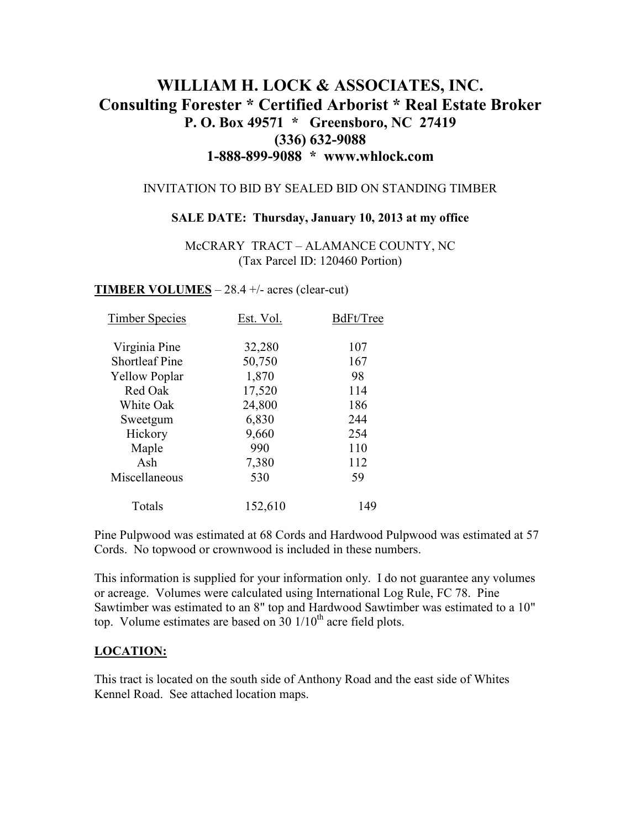# **WILLIAM H. LOCK & ASSOCIATES, INC. Consulting Forester \* Certified Arborist \* Real Estate Broker P. O. Box 49571 \* Greensboro, NC 27419 (336) 632-9088 1-888-899-9088 \* www.whlock.com**

### INVITATION TO BID BY SEALED BID ON STANDING TIMBER

#### **SALE DATE: Thursday, January 10, 2013 at my office**

McCRARY TRACT – ALAMANCE COUNTY, NC (Tax Parcel ID: 120460 Portion)

**TIMBER VOLUMES** – 28.4 +/- acres (clear-cut)

| <b>Timber Species</b> | Est. Vol. | BdFt/Tree |
|-----------------------|-----------|-----------|
| Virginia Pine         | 32,280    | 107       |
| <b>Shortleaf Pine</b> | 50,750    | 167       |
| <b>Yellow Poplar</b>  | 1,870     | 98        |
| Red Oak               | 17,520    | 114       |
| White Oak             | 24,800    | 186       |
| Sweetgum              | 6,830     | 244       |
| Hickory               | 9,660     | 254       |
| Maple                 | 990       | 110       |
| Ash                   | 7,380     | 112       |
| Miscellaneous         | 530       | 59        |
| Totals                | 152,610   | 149       |

Pine Pulpwood was estimated at 68 Cords and Hardwood Pulpwood was estimated at 57 Cords. No topwood or crownwood is included in these numbers.

This information is supplied for your information only. I do not guarantee any volumes or acreage. Volumes were calculated using International Log Rule, FC 78. Pine Sawtimber was estimated to an 8" top and Hardwood Sawtimber was estimated to a 10" top. Volume estimates are based on  $30 \frac{1}{10^{th}}$  acre field plots.

### **LOCATION:**

This tract is located on the south side of Anthony Road and the east side of Whites Kennel Road. See attached location maps.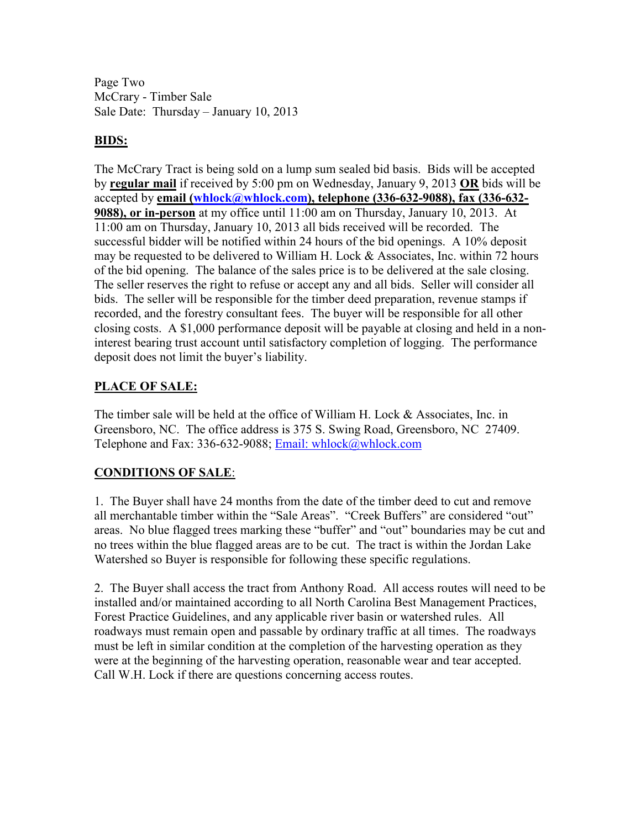Page Two McCrary - Timber Sale Sale Date: Thursday – January 10, 2013

### **BIDS:**

The McCrary Tract is being sold on a lump sum sealed bid basis. Bids will be accepted by **regular mail** if received by 5:00 pm on Wednesday, January 9, 2013 **OR** bids will be accepted by **email (whlock@whlock.com), telephone (336-632-9088), fax (336-632- 9088), or in-person** at my office until 11:00 am on Thursday, January 10, 2013. At 11:00 am on Thursday, January 10, 2013 all bids received will be recorded. The successful bidder will be notified within 24 hours of the bid openings. A 10% deposit may be requested to be delivered to William H. Lock & Associates, Inc. within 72 hours of the bid opening. The balance of the sales price is to be delivered at the sale closing. The seller reserves the right to refuse or accept any and all bids. Seller will consider all bids. The seller will be responsible for the timber deed preparation, revenue stamps if recorded, and the forestry consultant fees. The buyer will be responsible for all other closing costs. A \$1,000 performance deposit will be payable at closing and held in a noninterest bearing trust account until satisfactory completion of logging. The performance deposit does not limit the buyer's liability.

## **PLACE OF SALE:**

The timber sale will be held at the office of William H. Lock & Associates, Inc. in Greensboro, NC. The office address is 375 S. Swing Road, Greensboro, NC 27409. Telephone and Fax: 336-632-9088; Email: whlock@whlock.com

# **CONDITIONS OF SALE**:

1. The Buyer shall have 24 months from the date of the timber deed to cut and remove all merchantable timber within the "Sale Areas". "Creek Buffers" are considered "out" areas. No blue flagged trees marking these "buffer" and "out" boundaries may be cut and no trees within the blue flagged areas are to be cut. The tract is within the Jordan Lake Watershed so Buyer is responsible for following these specific regulations.

2. The Buyer shall access the tract from Anthony Road. All access routes will need to be installed and/or maintained according to all North Carolina Best Management Practices, Forest Practice Guidelines, and any applicable river basin or watershed rules. All roadways must remain open and passable by ordinary traffic at all times. The roadways must be left in similar condition at the completion of the harvesting operation as they were at the beginning of the harvesting operation, reasonable wear and tear accepted. Call W.H. Lock if there are questions concerning access routes.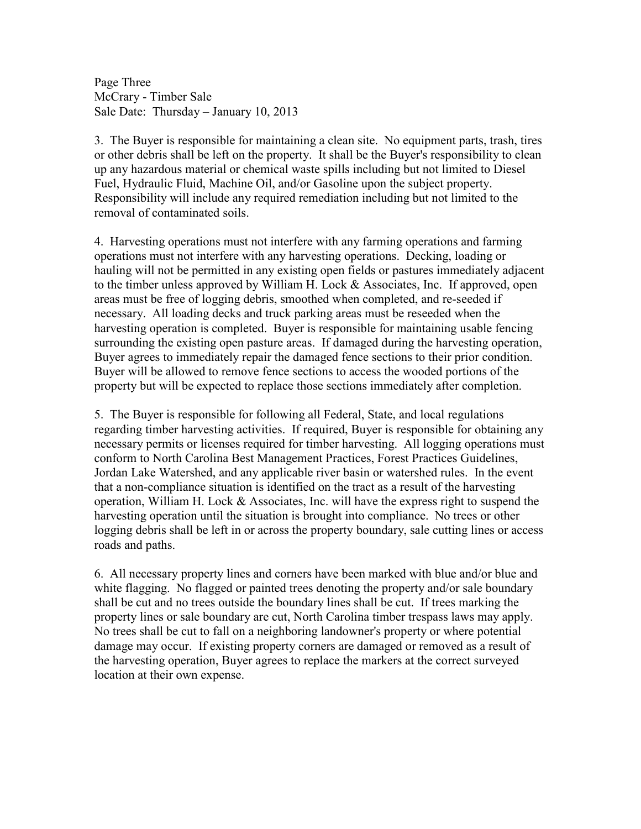Page Three McCrary - Timber Sale Sale Date: Thursday – January 10, 2013

3. The Buyer is responsible for maintaining a clean site. No equipment parts, trash, tires or other debris shall be left on the property. It shall be the Buyer's responsibility to clean up any hazardous material or chemical waste spills including but not limited to Diesel Fuel, Hydraulic Fluid, Machine Oil, and/or Gasoline upon the subject property. Responsibility will include any required remediation including but not limited to the removal of contaminated soils.

4. Harvesting operations must not interfere with any farming operations and farming operations must not interfere with any harvesting operations. Decking, loading or hauling will not be permitted in any existing open fields or pastures immediately adjacent to the timber unless approved by William H. Lock & Associates, Inc. If approved, open areas must be free of logging debris, smoothed when completed, and re-seeded if necessary. All loading decks and truck parking areas must be reseeded when the harvesting operation is completed. Buyer is responsible for maintaining usable fencing surrounding the existing open pasture areas. If damaged during the harvesting operation, Buyer agrees to immediately repair the damaged fence sections to their prior condition. Buyer will be allowed to remove fence sections to access the wooded portions of the property but will be expected to replace those sections immediately after completion.

5. The Buyer is responsible for following all Federal, State, and local regulations regarding timber harvesting activities. If required, Buyer is responsible for obtaining any necessary permits or licenses required for timber harvesting. All logging operations must conform to North Carolina Best Management Practices, Forest Practices Guidelines, Jordan Lake Watershed, and any applicable river basin or watershed rules. In the event that a non-compliance situation is identified on the tract as a result of the harvesting operation, William H. Lock & Associates, Inc. will have the express right to suspend the harvesting operation until the situation is brought into compliance. No trees or other logging debris shall be left in or across the property boundary, sale cutting lines or access roads and paths.

6. All necessary property lines and corners have been marked with blue and/or blue and white flagging. No flagged or painted trees denoting the property and/or sale boundary shall be cut and no trees outside the boundary lines shall be cut. If trees marking the property lines or sale boundary are cut, North Carolina timber trespass laws may apply. No trees shall be cut to fall on a neighboring landowner's property or where potential damage may occur. If existing property corners are damaged or removed as a result of the harvesting operation, Buyer agrees to replace the markers at the correct surveyed location at their own expense.